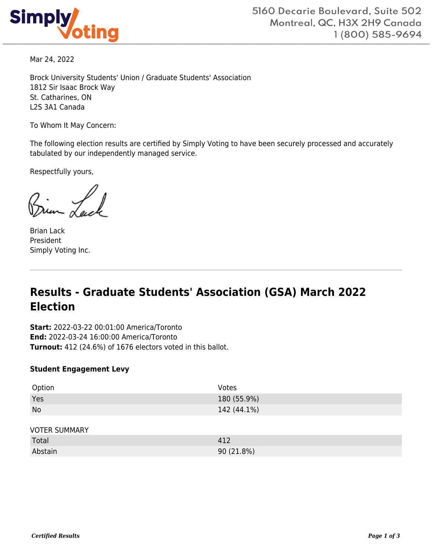

Mar 24, 2022

Brock University Students' Union / Graduate Students' Association 1812 Sir Isaac Brock Way St. Catharines, ON L2S 3A1 Canada

To Whom It May Concern:

The following election results are certified by Simply Voting to have been securely processed and accurately tabulated by our independently managed service.

Respectfully yours,

Brian Lack President Simply Voting Inc.

# **Results - Graduate Students' Association (GSA) March 2022 Election**

**Start:** 2022-03-22 00:01:00 America/Toronto **End:** 2022-03-24 16:00:00 America/Toronto **Turnout:** 412 (24.6%) of 1676 electors voted in this ballot.

#### **Student Engagement Levy**

| Option               | Votes       |
|----------------------|-------------|
| Yes                  | 180 (55.9%) |
| No                   | 142 (44.1%) |
|                      |             |
| <b>VOTER SUMMARY</b> |             |
| Total                | 412         |
| Abstain              | 90 (21.8%)  |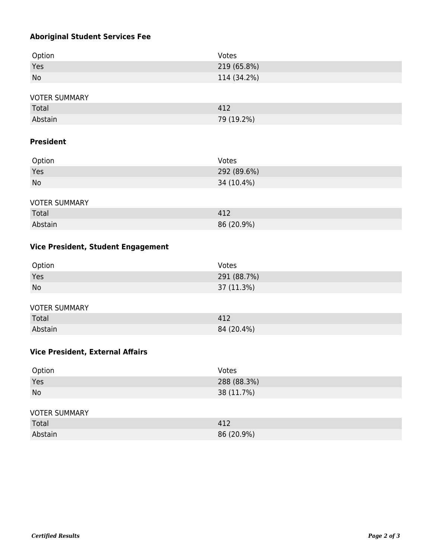### **Aboriginal Student Services Fee**

| Option    | Votes       |
|-----------|-------------|
| Yes       | 219 (65.8%) |
| <b>No</b> | 114 (34.2%) |
|           |             |

#### VOTER SUMMARY

| Total   | 412        |
|---------|------------|
| Abstain | 79 (19.2%) |

### **President**

| Option    | Votes       |
|-----------|-------------|
| Yes       | 292 (89.6%) |
| <b>No</b> | 34 (10.4%)  |

#### VOTER SUMMARY

| Total   | 412        |
|---------|------------|
| Abstain | 86 (20.9%) |

### **Vice President, Student Engagement**

| Option | Votes       |
|--------|-------------|
| Yes    | 291 (88.7%) |
| No     | 37 (11.3%)  |

#### VOTER SUMMARY

| Total   | 412        |
|---------|------------|
| Abstain | 84 (20.4%) |

### **Vice President, External Affairs**

| Option | Votes       |
|--------|-------------|
| Yes    | 288 (88.3%) |
| No     | 38 (11.7%)  |

#### VOTER SUMMARY

| Total   | $\mathbf{A}^{\mathbf{1}}$ |
|---------|---------------------------|
| Abstain | $(20.9\%)$<br>86(         |